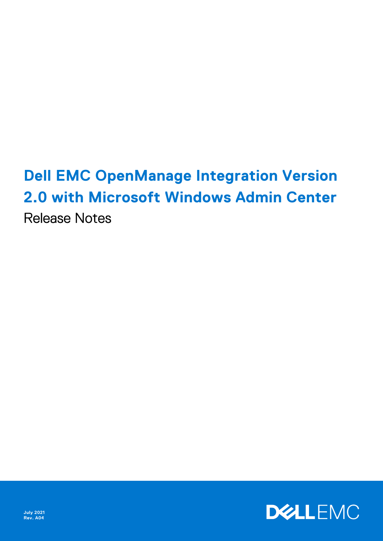# **Dell EMC OpenManage Integration Version 2.0 with Microsoft Windows Admin Center** Release Notes

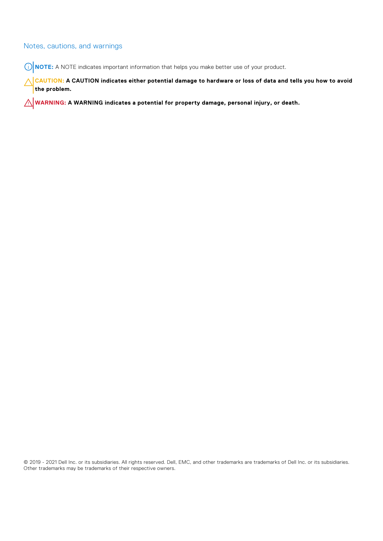#### Notes, cautions, and warnings

**NOTE:** A NOTE indicates important information that helps you make better use of your product.

**CAUTION: A CAUTION indicates either potential damage to hardware or loss of data and tells you how to avoid the problem.**

**WARNING: A WARNING indicates a potential for property damage, personal injury, or death.**

© 2019 - 2021 Dell Inc. or its subsidiaries. All rights reserved. Dell, EMC, and other trademarks are trademarks of Dell Inc. or its subsidiaries. Other trademarks may be trademarks of their respective owners.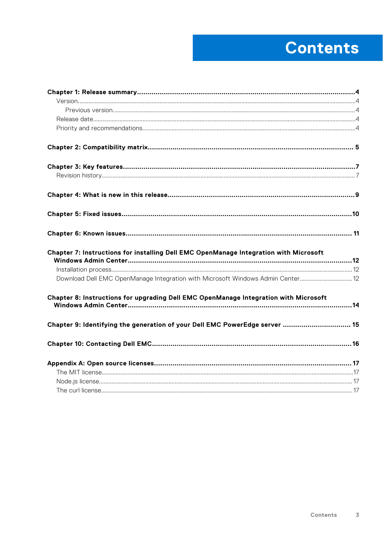# **Contents**

| Chapter 7: Instructions for installing Dell EMC OpenManage Integration with Microsoft |  |
|---------------------------------------------------------------------------------------|--|
|                                                                                       |  |
| Download Dell EMC OpenManage Integration with Microsoft Windows Admin Center 12       |  |
| Chapter 8: Instructions for upgrading Dell EMC OpenManage Integration with Microsoft  |  |
| Chapter 9: Identifying the generation of your Dell EMC PowerEdge server  15           |  |
|                                                                                       |  |
|                                                                                       |  |
|                                                                                       |  |
|                                                                                       |  |
|                                                                                       |  |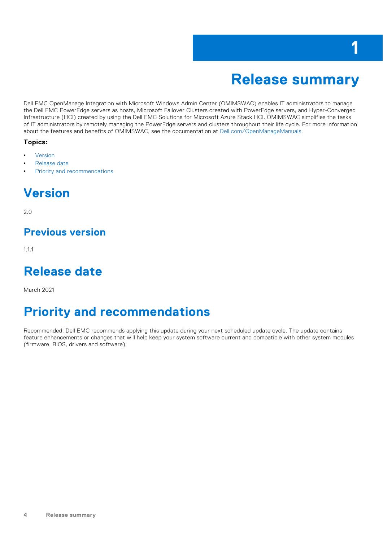### **Release summary**

**1**

<span id="page-3-0"></span>Dell EMC OpenManage Integration with Microsoft Windows Admin Center (OMIMSWAC) enables IT administrators to manage the Dell EMC PowerEdge servers as hosts, Microsoft Failover Clusters created with PowerEdge servers, and Hyper-Converged Infrastructure (HCI) created by using the Dell EMC Solutions for Microsoft Azure Stack HCI. OMIMSWAC simplifies the tasks of IT administrators by remotely managing the PowerEdge servers and clusters throughout their life cycle. For more information about the features and benefits of OMIMSWAC, see the documentation at [Dell.com/OpenManageManuals](https://www.dell.com/openmanagemanuals).

#### **Topics:**

- **Version**
- Release date
- Priority and recommendations

### **Version**

2.0

### **Previous version**

1.1.1

### **Release date**

March 2021

### **Priority and recommendations**

Recommended: Dell EMC recommends applying this update during your next scheduled update cycle. The update contains feature enhancements or changes that will help keep your system software current and compatible with other system modules (firmware, BIOS, drivers and software).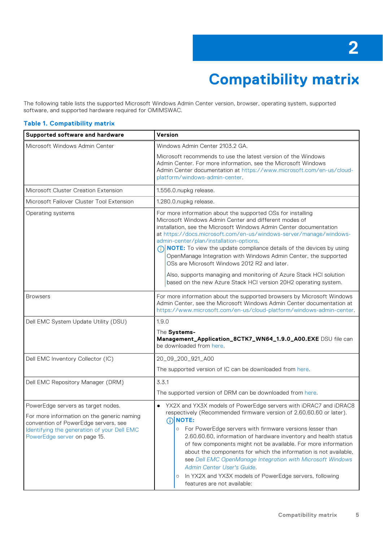# **Compatibility matrix**

<span id="page-4-0"></span>The following table lists the supported Microsoft Windows Admin Center version, browser, operating system, supported software, and supported hardware required for OMIMSWAC.

#### **Table 1. Compatibility matrix**

| Supported software and hardware                                                                                                                                                                         | Version                                                                                                                                                                                                                                                                                                                                                                                                                                                                                                                                                                                                                                                   |  |  |
|---------------------------------------------------------------------------------------------------------------------------------------------------------------------------------------------------------|-----------------------------------------------------------------------------------------------------------------------------------------------------------------------------------------------------------------------------------------------------------------------------------------------------------------------------------------------------------------------------------------------------------------------------------------------------------------------------------------------------------------------------------------------------------------------------------------------------------------------------------------------------------|--|--|
| Microsoft Windows Admin Center                                                                                                                                                                          | Windows Admin Center 2103.2 GA.                                                                                                                                                                                                                                                                                                                                                                                                                                                                                                                                                                                                                           |  |  |
|                                                                                                                                                                                                         | Microsoft recommends to use the latest version of the Windows<br>Admin Center. For more information, see the Microsoft Windows<br>Admin Center documentation at https://www.microsoft.com/en-us/cloud-<br>platform/windows-admin-center.                                                                                                                                                                                                                                                                                                                                                                                                                  |  |  |
| Microsoft Cluster Creation Extension                                                                                                                                                                    | 1.556.0.nupkg release.                                                                                                                                                                                                                                                                                                                                                                                                                                                                                                                                                                                                                                    |  |  |
| Microsoft Failover Cluster Tool Extension                                                                                                                                                               | 1.280.0.nupkg release.                                                                                                                                                                                                                                                                                                                                                                                                                                                                                                                                                                                                                                    |  |  |
| Operating systems                                                                                                                                                                                       | For more information about the supported OSs for installing<br>Microsoft Windows Admin Center and different modes of<br>installation, see the Microsoft Windows Admin Center documentation<br>at https://docs.microsoft.com/en-us/windows-server/manage/windows-<br>admin-center/plan/installation-options.<br>(i) <b>NOTE:</b> To view the update compliance details of the devices by using<br>OpenManage Integration with Windows Admin Center, the supported<br>OSs are Microsoft Windows 2012 R2 and later.<br>Also, supports managing and monitoring of Azure Stack HCI solution<br>based on the new Azure Stack HCI version 20H2 operating system. |  |  |
| <b>Browsers</b>                                                                                                                                                                                         | For more information about the supported browsers by Microsoft Windows<br>Admin Center, see the Microsoft Windows Admin Center documentation at<br>https://www.microsoft.com/en-us/cloud-platform/windows-admin-center.                                                                                                                                                                                                                                                                                                                                                                                                                                   |  |  |
| Dell EMC System Update Utility (DSU)                                                                                                                                                                    | 1.9.0<br>The Systems-<br>Management_Application_8CTK7_WN64_1.9.0_A00.EXE DSU file can<br>be downloaded from here.                                                                                                                                                                                                                                                                                                                                                                                                                                                                                                                                         |  |  |
|                                                                                                                                                                                                         |                                                                                                                                                                                                                                                                                                                                                                                                                                                                                                                                                                                                                                                           |  |  |
| Dell EMC Inventory Collector (IC)                                                                                                                                                                       | 20_09_200_921_A00                                                                                                                                                                                                                                                                                                                                                                                                                                                                                                                                                                                                                                         |  |  |
|                                                                                                                                                                                                         | The supported version of IC can be downloaded from here.                                                                                                                                                                                                                                                                                                                                                                                                                                                                                                                                                                                                  |  |  |
| Dell EMC Repository Manager (DRM)                                                                                                                                                                       | 3.3.1<br>The supported version of DRM can be downloaded from here.                                                                                                                                                                                                                                                                                                                                                                                                                                                                                                                                                                                        |  |  |
| PowerEdge servers as target nodes.<br>For more information on the generic naming<br>convention of PowerEdge servers, see<br>Identifying the generation of your Dell EMC<br>PowerEdge server on page 15. | YX2X and YX3X models of PowerEdge servers with iDRAC7 and iDRAC8<br>respectively (Recommended firmware version of 2.60.60.60 or later).<br>DINOTE:<br>o For PowerEdge servers with firmware versions lesser than<br>2.60.60.60, information of hardware inventory and health status<br>of few components might not be available. For more information<br>about the components for which the information is not available,<br>see Dell EMC OpenManage Integration with Microsoft Windows<br>Admin Center User's Guide.<br>In YX2X and YX3X models of PowerEdge servers, following<br>$\circ$<br>features are not available:                                |  |  |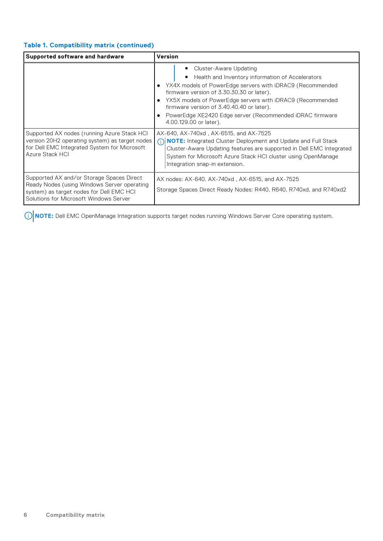#### **Table 1. Compatibility matrix (continued)**

| Supported software and hardware                                                                                                                                                | Version                                                                                                                                                                                                                                                                                                                                                                                |  |  |
|--------------------------------------------------------------------------------------------------------------------------------------------------------------------------------|----------------------------------------------------------------------------------------------------------------------------------------------------------------------------------------------------------------------------------------------------------------------------------------------------------------------------------------------------------------------------------------|--|--|
|                                                                                                                                                                                | Cluster-Aware Updating<br>Health and Inventory information of Accelerators<br>• YX4X models of PowerEdge servers with iDRAC9 (Recommended<br>firmware version of 3.30.30.30 or later).<br>YX5X models of PowerEdge servers with iDRAC9 (Recommended<br>firmware version of 3.40.40.40 or later).<br>PowerEdge XE2420 Edge server (Recommended iDRAC firmware<br>4.00.129.00 or later). |  |  |
| Supported AX nodes (running Azure Stack HCI<br>version 20H2 operating system) as target nodes<br>for Dell EMC Integrated System for Microsoft<br>Azure Stack HCI               | AX-640, AX-740xd, AX-6515, and AX-7525<br>(i) NOTE: Integrated Cluster Deployment and Update and Full Stack<br>Cluster-Aware Updating features are supported in Dell EMC Integrated<br>System for Microsoft Azure Stack HCI cluster using OpenManage<br>Integration snap-in extension.                                                                                                 |  |  |
| Supported AX and/or Storage Spaces Direct<br>Ready Nodes (using Windows Server operating<br>system) as target nodes for Dell EMC HCI<br>Solutions for Microsoft Windows Server | AX nodes: AX-640, AX-740xd, AX-6515, and AX-7525<br>Storage Spaces Direct Ready Nodes: R440, R640, R740xd, and R740xd2                                                                                                                                                                                                                                                                 |  |  |

**NOTE:** Dell EMC OpenManage Integration supports target nodes running Windows Server Core operating system.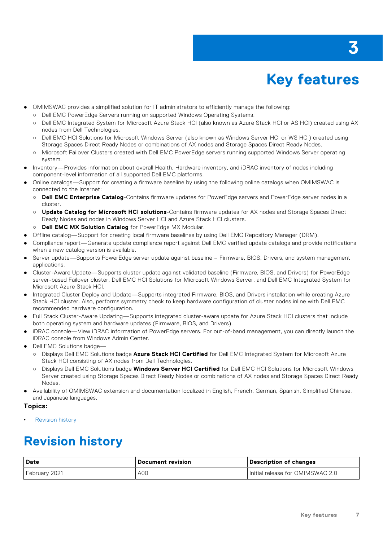# **Key features**

- <span id="page-6-0"></span>OMIMSWAC provides a simplified solution for IT administrators to efficiently manage the following:
	- Dell EMC PowerEdge Servers running on supported Windows Operating Systems.
	- Dell EMC Integrated System for Microsoft Azure Stack HCI (also known as Azure Stack HCI or AS HCI) created using AX nodes from Dell Technologies.
	- Dell EMC HCI Solutions for Microsoft Windows Server (also known as Windows Server HCI or WS HCI) created using Storage Spaces Direct Ready Nodes or combinations of AX nodes and Storage Spaces Direct Ready Nodes.
	- Microsoft Failover Clusters created with Dell EMC PowerEdge servers running supported Windows Server operating system.
- Inventory—Provides information about overall Health, Hardware inventory, and iDRAC inventory of nodes including component-level information of all supported Dell EMC platforms.
- Online catalogs—Support for creating a firmware baseline by using the following online catalogs when OMIMSWAC is connected to the Internet:
	- **Dell EMC Enterprise Catalog**-Contains firmware updates for PowerEdge servers and PowerEdge server nodes in a cluster.
	- **Update Catalog for Microsoft HCI solutions**-Contains firmware updates for AX nodes and Storage Spaces Direct Ready Nodes and nodes in Windows Server HCI and Azure Stack HCI clusters.
	- **Dell EMC MX Solution Catalog** for PowerEdge MX Modular.
- Offline catalog—Support for creating local firmware baselines by using Dell EMC Repository Manager (DRM).
- Compliance report—Generate update compliance report against Dell EMC verified update catalogs and provide notifications when a new catalog version is available.
- Server update—Supports PowerEdge server update against baseline Firmware, BIOS, Drivers, and system management applications.
- Cluster-Aware Update—Supports cluster update against validated baseline (Firmware, BIOS, and Drivers) for PowerEdge server-based Failover cluster, Dell EMC HCI Solutions for Microsoft Windows Server, and Dell EMC Integrated System for Microsoft Azure Stack HCI.
- Integrated Cluster Deploy and Update—Supports integrated Firmware, BIOS, and Drivers installation while creating Azure Stack HCI cluster. Also, performs symmetry check to keep hardware configuration of cluster nodes inline with Dell EMC recommended hardware configuration.
- Full Stack Cluster-Aware Updating—Supports integrated cluster-aware update for Azure Stack HCI clusters that include both operating system and hardware updates (Firmware, BIOS, and Drivers).
- iDRAC console—View iDRAC information of PowerEdge servers. For out-of-band management, you can directly launch the iDRAC console from Windows Admin Center.
- Dell EMC Solutions badge-
	- Displays Dell EMC Solutions badge **Azure Stack HCI Certified** for Dell EMC Integrated System for Microsoft Azure Stack HCI consisting of AX nodes from Dell Technologies.
	- Displays Dell EMC Solutions badge **Windows Server HCI Certified** for Dell EMC HCI Solutions for Microsoft Windows Server created using Storage Spaces Direct Ready Nodes or combinations of AX nodes and Storage Spaces Direct Ready Nodes.
- Availability of OMIMSWAC extension and documentation localized in English, French, German, Spanish, Simplified Chinese, and Japanese languages.

#### **Topics:**

Revision history

### **Revision history**

| l Date        | l Document revision | Description of changes             |
|---------------|---------------------|------------------------------------|
| February 2021 | A00                 | I Initial release for OMIMSWAC 2.0 |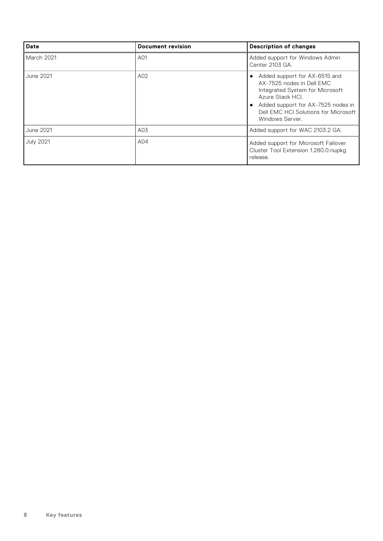| Date             | <b>Document revision</b> | <b>Description of changes</b>                                                                                                                                                                                      |
|------------------|--------------------------|--------------------------------------------------------------------------------------------------------------------------------------------------------------------------------------------------------------------|
| March 2021       | A01                      | Added support for Windows Admin<br>Center 2103 GA.                                                                                                                                                                 |
| June 2021        | A02                      | Added support for AX-6515 and<br>AX-7525 nodes in Dell EMC<br>Integrated System for Microsoft<br>Azure Stack HCI.<br>Added support for AX-7525 nodes in<br>Dell EMC HCI Solutions for Microsoft<br>Windows Server. |
| June 2021        | A03                      | Added support for WAC 2103.2 GA.                                                                                                                                                                                   |
| <b>July 2021</b> | A04                      | Added support for Microsoft Failover<br>Cluster Tool Extension 1.280.0.nupkg<br>release.                                                                                                                           |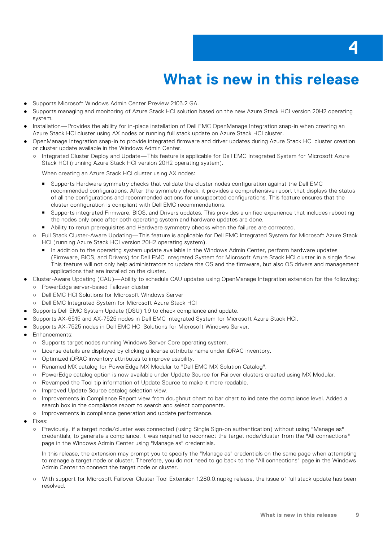# **What is new in this release**

- <span id="page-8-0"></span>Supports Microsoft Windows Admin Center Preview 2103.2 GA.
- Supports managing and monitoring of Azure Stack HCI solution based on the new Azure Stack HCI version 20H2 operating system.
- Installation—Provides the ability for in-place installation of Dell EMC OpenManage Integration snap-in when creating an Azure Stack HCI cluster using AX nodes or running full stack update on Azure Stack HCI cluster.
- OpenManage Integration snap-in to provide integrated firmware and driver updates during Azure Stack HCI cluster creation or cluster update available in the Windows Admin Center.
	- Integrated Cluster Deploy and Update—This feature is applicable for Dell EMC Integrated System for Microsoft Azure Stack HCI (running Azure Stack HCI version 20H2 operating system).

When creating an Azure Stack HCI cluster using AX nodes:

- Supports Hardware symmetry checks that validate the cluster nodes configuration against the Dell EMC recommended configurations. After the symmetry check, it provides a comprehensive report that displays the status of all the configurations and recommended actions for unsupported configurations. This feature ensures that the cluster configuration is compliant with Dell EMC recommendations.
- Supports integrated Firmware, BIOS, and Drivers updates. This provides a unified experience that includes rebooting the nodes only once after both operating system and hardware updates are done.
- Ability to rerun prerequisites and Hardware symmetry checks when the failures are corrected.
- Full Stack Cluster-Aware Updating—This feature is applicable for Dell EMC Integrated System for Microsoft Azure Stack HCI (running Azure Stack HCI version 20H2 operating system).
	- In addition to the operating system update available in the Windows Admin Center, perform hardware updates (Firmware, BIOS, and Drivers) for Dell EMC Integrated System for Microsoft Azure Stack HCI cluster in a single flow. This feature will not only help administrators to update the OS and the firmware, but also OS drivers and management applications that are installed on the cluster.
- Cluster-Aware Updating (CAU)—Ability to schedule CAU updates using OpenManage Integration extension for the following:
	- PowerEdge server-based Failover cluster
	- Dell EMC HCI Solutions for Microsoft Windows Server
	- Dell EMC Integrated System for Microsoft Azure Stack HCI
- Supports Dell EMC System Update (DSU) 1.9 to check compliance and update.
- Supports AX-6515 and AX-7525 nodes in Dell EMC Integrated System for Microsoft Azure Stack HCI.
- Supports AX-7525 nodes in Dell EMC HCI Solutions for Microsoft Windows Server.
- Enhancements:
	- Supports target nodes running Windows Server Core operating system.
	- License details are displayed by clicking a license attribute name under iDRAC inventory.
	- Optimized iDRAC inventory attributes to improve usability.
	- Renamed MX catalog for PowerEdge MX Modular to "Dell EMC MX Solution Catalog".
	- PowerEdge catalog option is now available under Update Source for Failover clusters created using MX Modular.
	- Revamped the Tool tip information of Update Source to make it more readable.
	- o Improved Update Source catalog selection view.
	- Improvements in Compliance Report view from doughnut chart to bar chart to indicate the compliance level. Added a search box in the compliance report to search and select components.
	- Improvements in compliance generation and update performance.
- Fixes:
	- Previously, if a target node/cluster was connected (using Single Sign-on authentication) without using "Manage as" credentials, to generate a compliance, it was required to reconnect the target node/cluster from the "All connections" page in the Windows Admin Center using "Manage as" credentials.

In this release, the extension may prompt you to specify the "Manage as" credentials on the same page when attempting to manage a target node or cluster. Therefore, you do not need to go back to the "All connections" page in the Windows Admin Center to connect the target node or cluster.

○ With support for Microsoft Failover Cluster Tool Extension 1.280.0.nupkg release, the issue of full stack update has been resolved.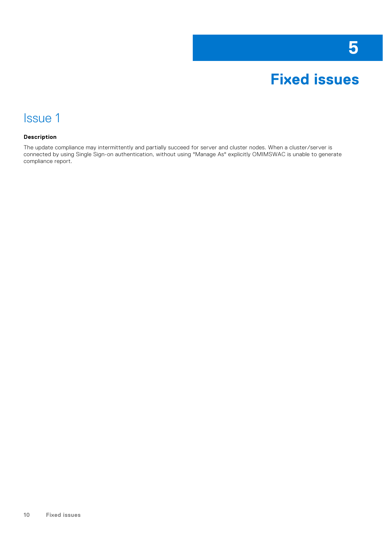

### <span id="page-9-0"></span>Issue 1

#### **Description**

The update compliance may intermittently and partially succeed for server and cluster nodes. When a cluster/server is connected by using Single Sign-on authentication, without using "Manage As" explicitly OMIMSWAC is unable to generate compliance report.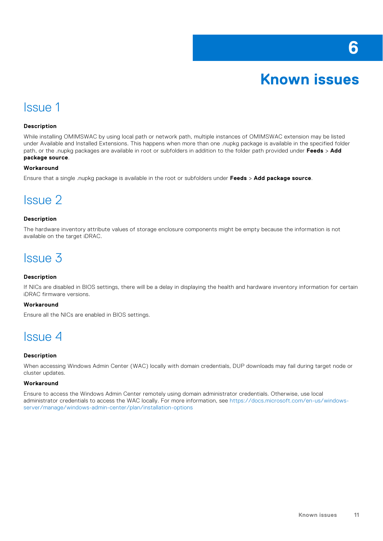# **Known issues**

### <span id="page-10-0"></span>Issue 1

#### **Description**

While installing OMIMSWAC by using local path or network path, multiple instances of OMIMSWAC extension may be listed under Available and Installed Extensions. This happens when more than one .nupkg package is available in the specified folder path, or the .nupkg packages are available in root or subfolders in addition to the folder path provided under **Feeds** > **Add package source**.

#### **Workaround**

Ensure that a single .nupkg package is available in the root or subfolders under **Feeds** > **Add package source**.

### Issue 2

#### **Description**

The hardware inventory attribute values of storage enclosure components might be empty because the information is not available on the target iDRAC.

### Issue 3

#### **Description**

If NICs are disabled in BIOS settings, there will be a delay in displaying the health and hardware inventory information for certain iDRAC firmware versions.

#### **Workaround**

Ensure all the NICs are enabled in BIOS settings.

### Issue 4

#### **Description**

When accessing Windows Admin Center (WAC) locally with domain credentials, DUP downloads may fail during target node or cluster updates.

#### **Workaround**

Ensure to access the Windows Admin Center remotely using domain administrator credentials. Otherwise, use local administrator credentials to access the WAC locally. For more information, see [https://docs.microsoft.com/en-us/windows](https://docs.microsoft.com/en-us/windows-server/manage/windows-admin-center/plan/installation-options)[server/manage/windows-admin-center/plan/installation-options](https://docs.microsoft.com/en-us/windows-server/manage/windows-admin-center/plan/installation-options)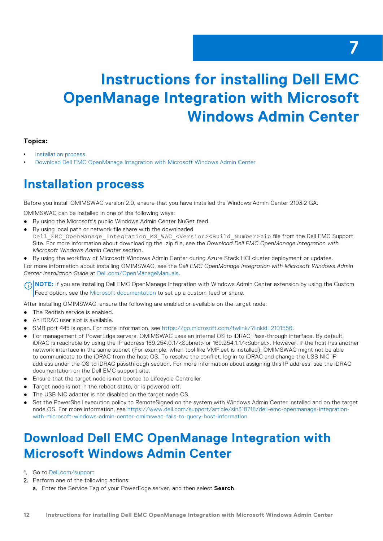# <span id="page-11-0"></span>**Instructions for installing Dell EMC OpenManage Integration with Microsoft Windows Admin Center**

#### **Topics:**

- Installation process
- Download Dell EMC OpenManage Integration with Microsoft Windows Admin Center

### **Installation process**

Before you install OMIMSWAC version 2.0, ensure that you have installed the Windows Admin Center 2103.2 GA.

OMIMSWAC can be installed in one of the following ways:

- By using the Microsoft's public Windows Admin Center NuGet feed.
- By using local path or network file share with the downloaded Dell\_EMC\_OpenManage\_Integration\_MS\_WAC\_<Version><Build\_Number>zip file from the Dell EMC Support Site. For more information about downloading the .zip file, see the *Download Dell EMC OpenManage Integration with Microsoft Windows Admin Center* section.
- By using the workflow of Microsoft Windows Admin Center during Azure Stack HCI cluster deployment or updates.

For more information about installing OMIMSWAC, see the *Dell EMC OpenManage Integration with Microsoft Windows Admin Center Installation Guide* at [Dell.com/OpenManageManuals.](https://www.dell.com/openmanagemanuals)

**(i)** NOTE: If you are installing Dell EMC OpenManage Integration with Windows Admin Center extension by using the Custom Feed option, see the [Microsoft documentation](HTTPS://DOCS.MICROSOFT.COM/EN-US/WINDOWS-SERVER/MANAGE/WINDOWS-ADMIN-CENTER/CONFIGURE/USING-EXTENSIONS) to set up a custom feed or share.

After installing OMIMSWAC, ensure the following are enabled or available on the target node:

- The Redfish service is enabled.
- An iDRAC user slot is available.
- SMB port 445 is open. For more information, see [https://go.microsoft.com/fwlink/?linkid=2101556.](https://GO.MICROSOFT.COM/FWLINK/?LINKID=2101556)
- For management of PowerEdge servers, OMIMSWAC uses an internal OS to iDRAC Pass-through interface. By default, iDRAC is reachable by using the IP address 169.254.0.1/<Subnet> or 169.254.1.1/<Subnet>. However, if the host has another network interface in the same subnet (For example, when tool like VMFleet is installed), OMIMSWAC might not be able to communicate to the iDRAC from the host OS. To resolve the conflict, log in to iDRAC and change the USB NIC IP address under the OS to iDRAC passthrough section. For more information about assigning this IP address, see the iDRAC documentation on the Dell EMC support site.
- Ensure that the target node is not booted to Lifecycle Controller.
- Target node is not in the reboot state, or is powered-off.
- The USB NIC adapter is not disabled on the target node OS.
- Set the PowerShell execution policy to RemoteSigned on the system with Windows Admin Center installed and on the target node OS. For more information, see [https://www.dell.com/support/article/sln318718/dell-emc-openmanage-integration](https://www.dell.com/support/article/sln318718/dell-emc-openmanage-integration-with-microsoft-windows-admin-center-omimswac-fails-to-query-host-information)[with-microsoft-windows-admin-center-omimswac-fails-to-query-host-information.](https://www.dell.com/support/article/sln318718/dell-emc-openmanage-integration-with-microsoft-windows-admin-center-omimswac-fails-to-query-host-information)

### **Download Dell EMC OpenManage Integration with Microsoft Windows Admin Center**

- 1. Go to [Dell.com/support.](https://www.dell.com/support)
- 2. Perform one of the following actions:
	- a. Enter the Service Tag of your PowerEdge server, and then select **Search**.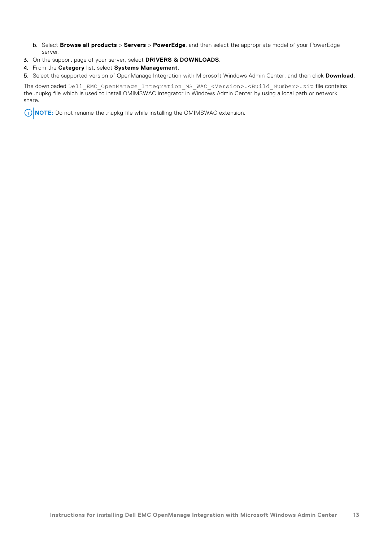- b. Select **Browse all products** > **Servers** > **PowerEdge**, and then select the appropriate model of your PowerEdge server.
- 3. On the support page of your server, select **DRIVERS & DOWNLOADS**.
- 4. From the **Category** list, select **Systems Management**.
- 5. Select the supported version of OpenManage Integration with Microsoft Windows Admin Center, and then click **Download**.

The downloaded Dell\_EMC\_OpenManage\_Integration\_MS\_WAC\_<Version>.<Build\_Number>.zip file contains the .nupkg file which is used to install OMIMSWAC integrator in Windows Admin Center by using a local path or network share.

**NOTE:** Do not rename the .nupkg file while installing the OMIMSWAC extension.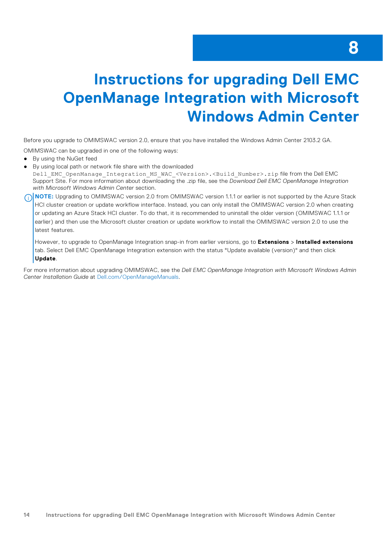# <span id="page-13-0"></span>**Instructions for upgrading Dell EMC OpenManage Integration with Microsoft Windows Admin Center**

Before you upgrade to OMIMSWAC version 2.0, ensure that you have installed the Windows Admin Center 2103.2 GA.

OMIMSWAC can be upgraded in one of the following ways:

- By using the NuGet feed
- By using local path or network file share with the downloaded

Dell EMC OpenManage Integration MS WAC <Version>.<Build Number>.zip file from the Dell EMC Support Site. For more information about downloading the .zip file, see the *Download Dell EMC OpenManage Integration with Microsoft Windows Admin Center* section.

**(i)** NOTE: Upgrading to OMIMSWAC version 2.0 from OMIMSWAC version 1.1.1 or earlier is not supported by the Azure Stack HCI cluster creation or update workflow interface. Instead, you can only install the OMIMSWAC version 2.0 when creating or updating an Azure Stack HCI cluster. To do that, it is recommended to uninstall the older version (OMIMSWAC 1.1.1 or earlier) and then use the Microsoft cluster creation or update workflow to install the OMIMSWAC version 2.0 to use the latest features.

However, to upgrade to OpenManage Integration snap-in from earlier versions, go to **Extensions** > **Installed extensions** tab. Select Dell EMC OpenManage Integration extension with the status "Update available (version)" and then click **Update**.

For more information about upgrading OMIMSWAC, see the *Dell EMC OpenManage Integration with Microsoft Windows Admin Center Installation Guide* at [Dell.com/OpenManageManuals.](https://www.dell.com/openmanagemanuals)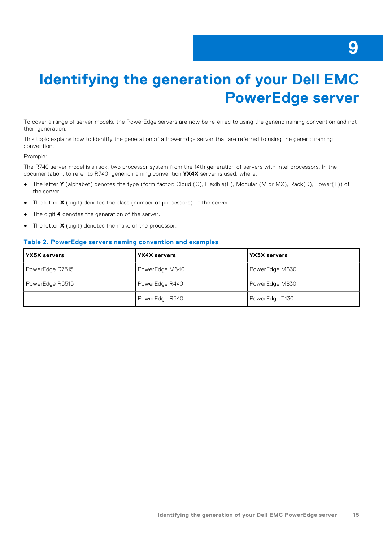# <span id="page-14-0"></span>**Identifying the generation of your Dell EMC PowerEdge server**

To cover a range of server models, the PowerEdge servers are now be referred to using the generic naming convention and not their generation.

This topic explains how to identify the generation of a PowerEdge server that are referred to using the generic naming convention.

#### Example:

The R740 server model is a rack, two processor system from the 14th generation of servers with Intel processors. In the documentation, to refer to R740, generic naming convention **YX4X** server is used, where:

- The letter **Y** (alphabet) denotes the type (form factor: Cloud (C), Flexible(F), Modular (M or MX), Rack(R), Tower(T)) of the server.
- The letter **X** (digit) denotes the class (number of processors) of the server.
- The digit 4 denotes the generation of the server.
- The letter **X** (digit) denotes the make of the processor.

#### **Table 2. PowerEdge servers naming convention and examples**

| <b>YX5X servers</b> | YX4X servers   | YX3X servers   |
|---------------------|----------------|----------------|
| PowerEdge R7515     | PowerEdge M640 | PowerEdge M630 |
| PowerEdge R6515     | PowerEdge R440 | PowerEdge M830 |
|                     | PowerEdge R540 | PowerEdge T130 |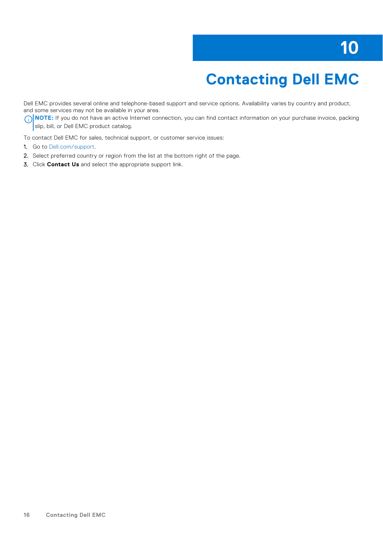# **Contacting Dell EMC**

<span id="page-15-0"></span>Dell EMC provides several online and telephone-based support and service options. Availability varies by country and product, and some services may not be available in your area.

**(i)** NOTE: If you do not have an active Internet connection, you can find contact information on your purchase invoice, packing slip, bill, or Dell EMC product catalog.

To contact Dell EMC for sales, technical support, or customer service issues:

- 1. Go to [Dell.com/support.](https://www.dell.com/support)
- 2. Select preferred country or region from the list at the bottom right of the page.
- 3. Click **Contact Us** and select the appropriate support link.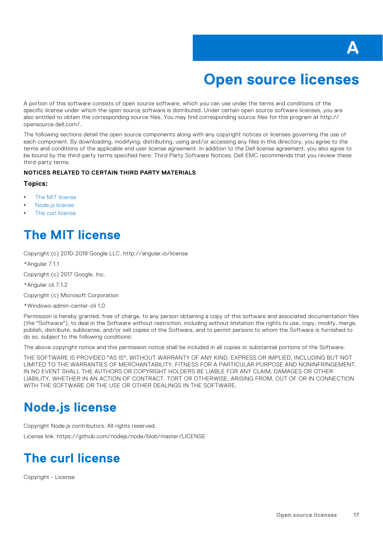

## **Open source licenses**

<span id="page-16-0"></span>A portion of this software consists of open source software, which you can use under the terms and conditions of the specific license under which the open source software is distributed. Under certain open source software licenses, you are also entitled to obtain the corresponding source files. You may find corresponding source files for this program at http:// opensource.dell.com/.

The following sections detail the open source components along with any copyright notices or licenses governing the use of each component. By downloading, modifying, distributing, using and/or accessing any files in this directory, you agree to the terms and conditions of the applicable end user license agreement. In addition to the Dell license agreement, you also agree to be bound by the third-party terms specified here: Third Party Software Notices. Dell EMC recommends that you review these third-party terms.

#### **NOTICES RELATED TO CERTAIN THIRD PARTY MATERIALS**

#### **Topics:**

- The MIT license
- Node.js license
- The curl license

### **The MIT license**

Copyright (c) 2010-2019 Google LLC. http://angular.io/license

\*Angular 7.1.1

Copyright (c) 2017 Google, Inc.

\*Angular cli 7.1.2

Copyright (c) Microsoft Corporation

\*Windows-admin-center-cli 1.0

Permission is hereby granted, free of charge, to any person obtaining a copy of this software and associated documentation files (the "Software"), to deal in the Software without restriction, including without limitation the rights to use, copy, modify, merge, publish, distribute, sublicense, and/or sell copies of the Software, and to permit persons to whom the Software is furnished to do so, subject to the following conditions:

The above copyright notice and this permission notice shall be included in all copies or substantial portions of the Software.

THE SOFTWARE IS PROVIDED "AS IS", WITHOUT WARRANTY OF ANY KIND, EXPRESS OR IMPLIED, INCLUDING BUT NOT LIMITED TO THE WARRANTIES OF MERCHANTABILITY, FITNESS FOR A PARTICULAR PURPOSE AND NONINFRINGEMENT. IN NO EVENT SHALL THE AUTHORS OR COPYRIGHT HOLDERS BE LIABLE FOR ANY CLAIM, DAMAGES OR OTHER LIABILITY, WHETHER IN AN ACTION OF CONTRACT, TORT OR OTHERWISE, ARISING FROM, OUT OF OR IN CONNECTION WITH THE SOFTWARE OR THE USE OR OTHER DEALINGS IN THE SOFTWARE.

### **Node.js license**

Copyright Node.js contributors. All rights reserved.

License link: https://github.com/nodejs/node/blob/master/LICENSE

### **The curl license**

Copyright - License